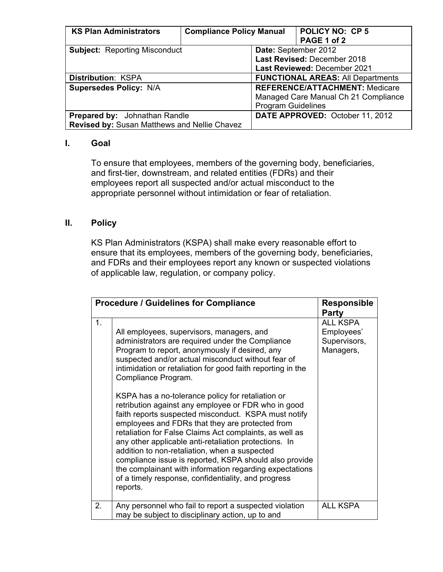| <b>KS Plan Administrators</b>                       | <b>Compliance Policy Manual</b> |                                          | <b>POLICY NO: CP 5</b>                |  |
|-----------------------------------------------------|---------------------------------|------------------------------------------|---------------------------------------|--|
|                                                     |                                 |                                          | PAGE 1 of 2                           |  |
| <b>Subject: Reporting Misconduct</b>                |                                 | Date: September 2012                     |                                       |  |
|                                                     |                                 | Last Revised: December 2018              |                                       |  |
|                                                     |                                 | Last Reviewed: December 2021             |                                       |  |
| <b>Distribution: KSPA</b>                           |                                 | <b>FUNCTIONAL AREAS: All Departments</b> |                                       |  |
| <b>Supersedes Policy: N/A</b>                       |                                 |                                          | <b>REFERENCE/ATTACHMENT: Medicare</b> |  |
|                                                     |                                 |                                          | Managed Care Manual Ch 21 Compliance  |  |
|                                                     |                                 | <b>Program Guidelines</b>                |                                       |  |
| <b>Prepared by:</b> Johnathan Randle                |                                 |                                          | DATE APPROVED: October 11, 2012       |  |
| <b>Revised by: Susan Matthews and Nellie Chavez</b> |                                 |                                          |                                       |  |

## **I. Goal**

To ensure that employees, members of the governing body, beneficiaries, and first-tier, downstream, and related entities (FDRs) and their employees report all suspected and/or actual misconduct to the appropriate personnel without intimidation or fear of retaliation.

## **II. Policy**

KS Plan Administrators (KSPA) shall make every reasonable effort to ensure that its employees, members of the governing body, beneficiaries, and FDRs and their employees report any known or suspected violations of applicable law, regulation, or company policy.

| <b>Procedure / Guidelines for Compliance</b> | <b>Responsible</b><br>Party                                                                                                                                                                                                                                                                                                                                                                                                                                                                                                                                                                                                                                                                                                                                                                                                                                                     |                                                     |
|----------------------------------------------|---------------------------------------------------------------------------------------------------------------------------------------------------------------------------------------------------------------------------------------------------------------------------------------------------------------------------------------------------------------------------------------------------------------------------------------------------------------------------------------------------------------------------------------------------------------------------------------------------------------------------------------------------------------------------------------------------------------------------------------------------------------------------------------------------------------------------------------------------------------------------------|-----------------------------------------------------|
| 1.                                           | All employees, supervisors, managers, and<br>administrators are required under the Compliance<br>Program to report, anonymously if desired, any<br>suspected and/or actual misconduct without fear of<br>intimidation or retaliation for good faith reporting in the<br>Compliance Program.<br>KSPA has a no-tolerance policy for retaliation or<br>retribution against any employee or FDR who in good<br>faith reports suspected misconduct. KSPA must notify<br>employees and FDRs that they are protected from<br>retaliation for False Claims Act complaints, as well as<br>any other applicable anti-retaliation protections. In<br>addition to non-retaliation, when a suspected<br>compliance issue is reported, KSPA should also provide<br>the complainant with information regarding expectations<br>of a timely response, confidentiality, and progress<br>reports. | ALL KSPA<br>Employees'<br>Supervisors,<br>Managers, |
| 2.                                           | Any personnel who fail to report a suspected violation<br>may be subject to disciplinary action, up to and                                                                                                                                                                                                                                                                                                                                                                                                                                                                                                                                                                                                                                                                                                                                                                      | <b>ALL KSPA</b>                                     |